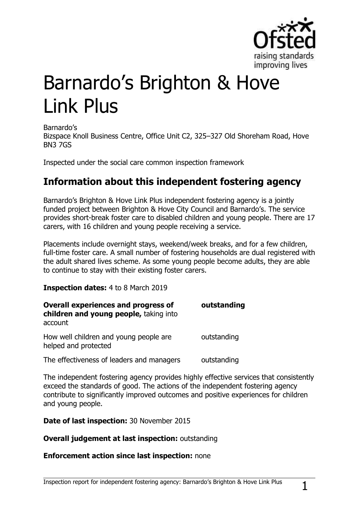

# Barnardo's Brighton & Hove Link Plus

Barnardo's

Bizspace Knoll Business Centre, Office Unit C2, 325–327 Old Shoreham Road, Hove BN3 7GS

Inspected under the social care common inspection framework

## **Information about this independent fostering agency**

Barnardo's Brighton & Hove Link Plus independent fostering agency is a jointly funded project between Brighton & Hove City Council and Barnardo's. The service provides short-break foster care to disabled children and young people. There are 17 carers, with 16 children and young people receiving a service.

Placements include overnight stays, weekend/week breaks, and for a few children, full-time foster care. A small number of fostering households are dual registered with the adult shared lives scheme. As some young people become adults, they are able to continue to stay with their existing foster carers.

**Inspection dates:** 4 to 8 March 2019

| <b>Overall experiences and progress of</b><br>children and young people, taking into<br>account | outstanding |
|-------------------------------------------------------------------------------------------------|-------------|
| How well children and young people are<br>helped and protected                                  | outstanding |
| The effectiveness of leaders and managers                                                       | outstanding |

The independent fostering agency provides highly effective services that consistently exceed the standards of good. The actions of the independent fostering agency contribute to significantly improved outcomes and positive experiences for children and young people.

**Date of last inspection:** 30 November 2015

**Overall judgement at last inspection:** outstanding

#### **Enforcement action since last inspection:** none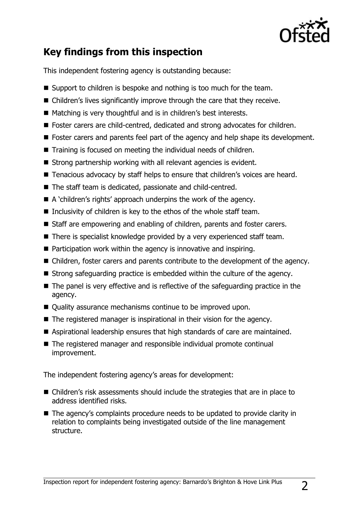

# **Key findings from this inspection**

This independent fostering agency is outstanding because:

- Support to children is bespoke and nothing is too much for the team.
- Children's lives significantly improve through the care that they receive.
- Matching is very thoughtful and is in children's best interests.
- Foster carers are child-centred, dedicated and strong advocates for children.
- Foster carers and parents feel part of the agency and help shape its development.
- Training is focused on meeting the individual needs of children.
- $\blacksquare$  Strong partnership working with all relevant agencies is evident.
- Tenacious advocacy by staff helps to ensure that children's voices are heard.
- The staff team is dedicated, passionate and child-centred.
- $\blacksquare$  A 'children's rights' approach underpins the work of the agency.
- Inclusivity of children is key to the ethos of the whole staff team.
- Staff are empowering and enabling of children, parents and foster carers.
- There is specialist knowledge provided by a very experienced staff team.
- Participation work within the agency is innovative and inspiring.
- Children, foster carers and parents contribute to the development of the agency.
- Strong safeguarding practice is embedded within the culture of the agency.
- $\blacksquare$  The panel is very effective and is reflective of the safeguarding practice in the agency.
- Quality assurance mechanisms continue to be improved upon.
- The registered manager is inspirational in their vision for the agency.
- Aspirational leadership ensures that high standards of care are maintained.
- The registered manager and responsible individual promote continual improvement.

The independent fostering agency's areas for development:

- Children's risk assessments should include the strategies that are in place to address identified risks.
- The agency's complaints procedure needs to be updated to provide clarity in relation to complaints being investigated outside of the line management structure.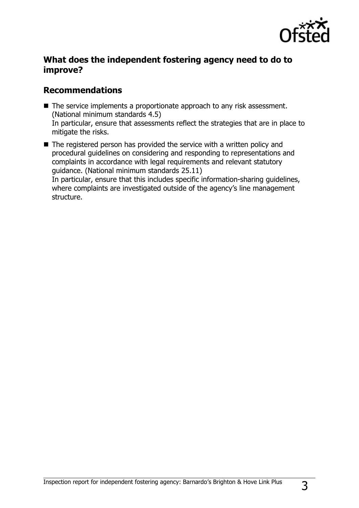

## **What does the independent fostering agency need to do to improve?**

## **Recommendations**

- The service implements a proportionate approach to any risk assessment. (National minimum standards 4.5) In particular, ensure that assessments reflect the strategies that are in place to mitigate the risks.
- $\blacksquare$  The registered person has provided the service with a written policy and procedural guidelines on considering and responding to representations and complaints in accordance with legal requirements and relevant statutory guidance. (National minimum standards 25.11) In particular, ensure that this includes specific information-sharing guidelines, where complaints are investigated outside of the agency's line management structure.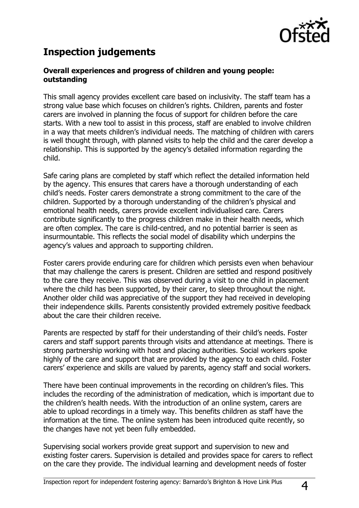

# **Inspection judgements**

#### **Overall experiences and progress of children and young people: outstanding**

This small agency provides excellent care based on inclusivity. The staff team has a strong value base which focuses on children's rights. Children, parents and foster carers are involved in planning the focus of support for children before the care starts. With a new tool to assist in this process, staff are enabled to involve children in a way that meets children's individual needs. The matching of children with carers is well thought through, with planned visits to help the child and the carer develop a relationship. This is supported by the agency's detailed information regarding the child.

Safe caring plans are completed by staff which reflect the detailed information held by the agency. This ensures that carers have a thorough understanding of each child's needs. Foster carers demonstrate a strong commitment to the care of the children. Supported by a thorough understanding of the children's physical and emotional health needs, carers provide excellent individualised care. Carers contribute significantly to the progress children make in their health needs, which are often complex. The care is child-centred, and no potential barrier is seen as insurmountable. This reflects the social model of disability which underpins the agency's values and approach to supporting children.

Foster carers provide enduring care for children which persists even when behaviour that may challenge the carers is present. Children are settled and respond positively to the care they receive. This was observed during a visit to one child in placement where the child has been supported, by their carer, to sleep throughout the night. Another older child was appreciative of the support they had received in developing their independence skills. Parents consistently provided extremely positive feedback about the care their children receive.

Parents are respected by staff for their understanding of their child's needs. Foster carers and staff support parents through visits and attendance at meetings. There is strong partnership working with host and placing authorities. Social workers spoke highly of the care and support that are provided by the agency to each child. Foster carers' experience and skills are valued by parents, agency staff and social workers.

There have been continual improvements in the recording on children's files. This includes the recording of the administration of medication, which is important due to the children's health needs. With the introduction of an online system, carers are able to upload recordings in a timely way. This benefits children as staff have the information at the time. The online system has been introduced quite recently, so the changes have not yet been fully embedded.

Supervising social workers provide great support and supervision to new and existing foster carers. Supervision is detailed and provides space for carers to reflect on the care they provide. The individual learning and development needs of foster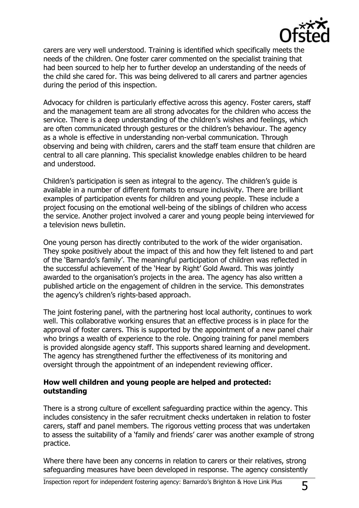

carers are very well understood. Training is identified which specifically meets the needs of the children. One foster carer commented on the specialist training that had been sourced to help her to further develop an understanding of the needs of the child she cared for. This was being delivered to all carers and partner agencies during the period of this inspection.

Advocacy for children is particularly effective across this agency. Foster carers, staff and the management team are all strong advocates for the children who access the service. There is a deep understanding of the children's wishes and feelings, which are often communicated through gestures or the children's behaviour. The agency as a whole is effective in understanding non-verbal communication. Through observing and being with children, carers and the staff team ensure that children are central to all care planning. This specialist knowledge enables children to be heard and understood.

Children's participation is seen as integral to the agency. The children's guide is available in a number of different formats to ensure inclusivity. There are brilliant examples of participation events for children and young people. These include a project focusing on the emotional well-being of the siblings of children who access the service. Another project involved a carer and young people being interviewed for a television news bulletin.

One young person has directly contributed to the work of the wider organisation. They spoke positively about the impact of this and how they felt listened to and part of the 'Barnardo's family'. The meaningful participation of children was reflected in the successful achievement of the 'Hear by Right' Gold Award. This was jointly awarded to the organisation's projects in the area. The agency has also written a published article on the engagement of children in the service. This demonstrates the agency's children's rights-based approach.

The joint fostering panel, with the partnering host local authority, continues to work well. This collaborative working ensures that an effective process is in place for the approval of foster carers. This is supported by the appointment of a new panel chair who brings a wealth of experience to the role. Ongoing training for panel members is provided alongside agency staff. This supports shared learning and development. The agency has strengthened further the effectiveness of its monitoring and oversight through the appointment of an independent reviewing officer.

#### **How well children and young people are helped and protected: outstanding**

There is a strong culture of excellent safeguarding practice within the agency. This includes consistency in the safer recruitment checks undertaken in relation to foster carers, staff and panel members. The rigorous vetting process that was undertaken to assess the suitability of a 'family and friends' carer was another example of strong practice.

Where there have been any concerns in relation to carers or their relatives, strong safeguarding measures have been developed in response. The agency consistently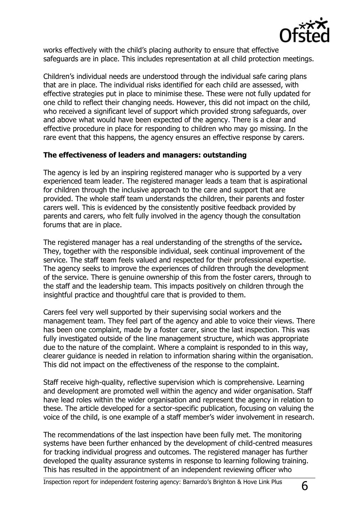

works effectively with the child's placing authority to ensure that effective safeguards are in place. This includes representation at all child protection meetings.

Children's individual needs are understood through the individual safe caring plans that are in place. The individual risks identified for each child are assessed, with effective strategies put in place to minimise these. These were not fully updated for one child to reflect their changing needs. However, this did not impact on the child, who received a significant level of support which provided strong safeguards, over and above what would have been expected of the agency. There is a clear and effective procedure in place for responding to children who may go missing. In the rare event that this happens, the agency ensures an effective response by carers.

#### **The effectiveness of leaders and managers: outstanding**

The agency is led by an inspiring registered manager who is supported by a very experienced team leader. The registered manager leads a team that is aspirational for children through the inclusive approach to the care and support that are provided. The whole staff team understands the children, their parents and foster carers well. This is evidenced by the consistently positive feedback provided by parents and carers, who felt fully involved in the agency though the consultation forums that are in place.

The registered manager has a real understanding of the strengths of the service**.**  They, together with the responsible individual, seek continual improvement of the service. The staff team feels valued and respected for their professional expertise. The agency seeks to improve the experiences of children through the development of the service. There is genuine ownership of this from the foster carers, through to the staff and the leadership team. This impacts positively on children through the insightful practice and thoughtful care that is provided to them.

Carers feel very well supported by their supervising social workers and the management team. They feel part of the agency and able to voice their views. There has been one complaint, made by a foster carer, since the last inspection. This was fully investigated outside of the line management structure, which was appropriate due to the nature of the complaint. Where a complaint is responded to in this way, clearer guidance is needed in relation to information sharing within the organisation. This did not impact on the effectiveness of the response to the complaint.

Staff receive high-quality, reflective supervision which is comprehensive. Learning and development are promoted well within the agency and wider organisation. Staff have lead roles within the wider organisation and represent the agency in relation to these. The article developed for a sector-specific publication, focusing on valuing the voice of the child, is one example of a staff member's wider involvement in research.

The recommendations of the last inspection have been fully met. The monitoring systems have been further enhanced by the development of child-centred measures for tracking individual progress and outcomes. The registered manager has further developed the quality assurance systems in response to learning following training. This has resulted in the appointment of an independent reviewing officer who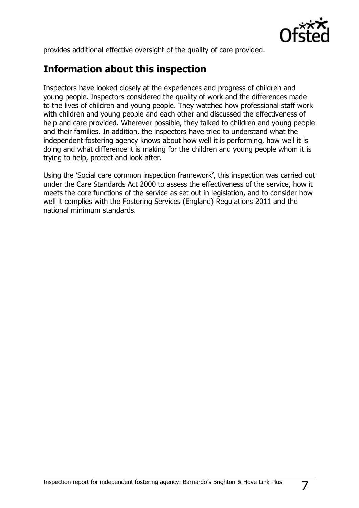

provides additional effective oversight of the quality of care provided.

## **Information about this inspection**

Inspectors have looked closely at the experiences and progress of children and young people. Inspectors considered the quality of work and the differences made to the lives of children and young people. They watched how professional staff work with children and young people and each other and discussed the effectiveness of help and care provided. Wherever possible, they talked to children and young people and their families. In addition, the inspectors have tried to understand what the independent fostering agency knows about how well it is performing, how well it is doing and what difference it is making for the children and young people whom it is trying to help, protect and look after.

Using the 'Social care common inspection framework', this inspection was carried out under the Care Standards Act 2000 to assess the effectiveness of the service, how it meets the core functions of the service as set out in legislation, and to consider how well it complies with the Fostering Services (England) Regulations 2011 and the national minimum standards.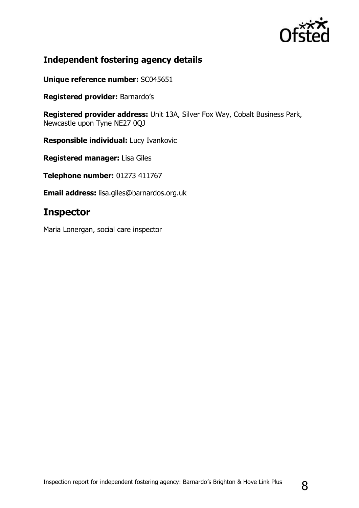

## **Independent fostering agency details**

**Unique reference number:** SC045651

**Registered provider:** Barnardo's

**Registered provider address:** Unit 13A, Silver Fox Way, Cobalt Business Park, Newcastle upon Tyne NE27 0QJ

**Responsible individual:** Lucy Ivankovic

**Registered manager:** Lisa Giles

**Telephone number:** 01273 411767

**Email address:** lisa.giles@barnardos.org.uk

## **Inspector**

Maria Lonergan, social care inspector